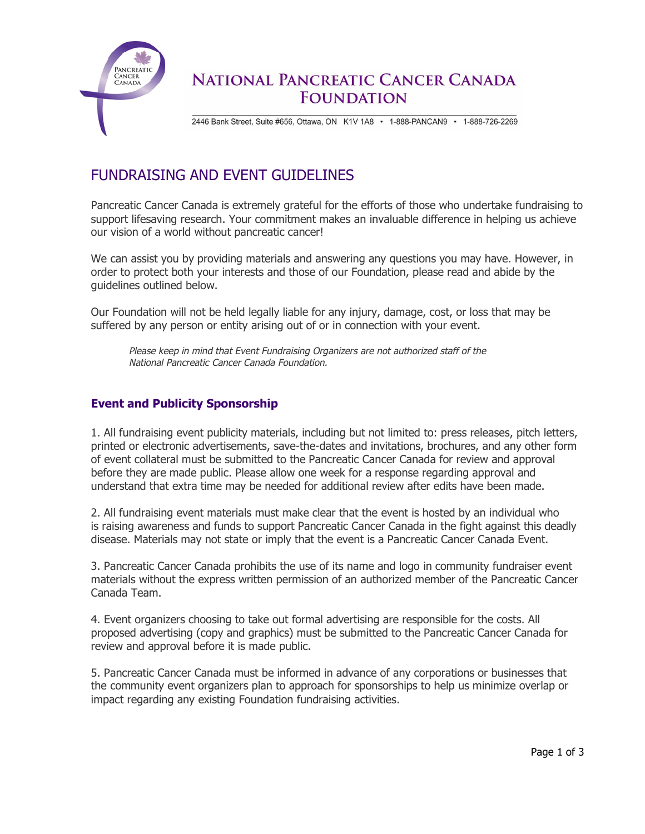

## **NATIONAL PANCREATIC CANCER CANADA FOUNDATION**

2446 Bank Street, Suite #656, Ottawa, ON K1V 1A8 · 1-888-PANCAN9 · 1-888-726-2269

# FUNDRAISING AND EVENT GUIDELINES

Pancreatic Cancer Canada is extremely grateful for the efforts of those who undertake fundraising to support lifesaving research. Your commitment makes an invaluable difference in helping us achieve our vision of a world without pancreatic cancer!

We can assist you by providing materials and answering any questions you may have. However, in order to protect both your interests and those of our Foundation, please read and abide by the guidelines outlined below.

Our Foundation will not be held legally liable for any injury, damage, cost, or loss that may be suffered by any person or entity arising out of or in connection with your event.

Please keep in mind that Event Fundraising Organizers are not authorized staff of the National Pancreatic Cancer Canada Foundation.

### **Event and Publicity Sponsorship**

1. All fundraising event publicity materials, including but not limited to: press releases, pitch letters, printed or electronic advertisements, save-the-dates and invitations, brochures, and any other form of event collateral must be submitted to the Pancreatic Cancer Canada for review and approval before they are made public. Please allow one week for a response regarding approval and understand that extra time may be needed for additional review after edits have been made.

2. All fundraising event materials must make clear that the event is hosted by an individual who is raising awareness and funds to support Pancreatic Cancer Canada in the fight against this deadly disease. Materials may not state or imply that the event is a Pancreatic Cancer Canada Event.

3. Pancreatic Cancer Canada prohibits the use of its name and logo in community fundraiser event materials without the express written permission of an authorized member of the Pancreatic Cancer Canada Team.

4. Event organizers choosing to take out formal advertising are responsible for the costs. All proposed advertising (copy and graphics) must be submitted to the Pancreatic Cancer Canada for review and approval before it is made public.

5. Pancreatic Cancer Canada must be informed in advance of any corporations or businesses that the community event organizers plan to approach for sponsorships to help us minimize overlap or impact regarding any existing Foundation fundraising activities.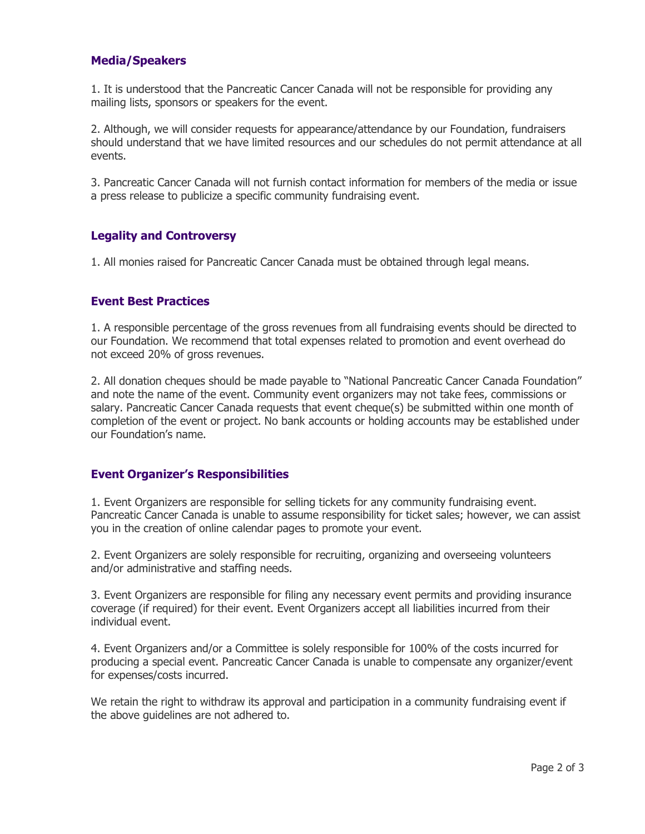### **Media/Speakers**

1. It is understood that the Pancreatic Cancer Canada will not be responsible for providing any mailing lists, sponsors or speakers for the event.

2. Although, we will consider requests for appearance/attendance by our Foundation, fundraisers should understand that we have limited resources and our schedules do not permit attendance at all events.

3. Pancreatic Cancer Canada will not furnish contact information for members of the media or issue a press release to publicize a specific community fundraising event.

#### **Legality and Controversy**

1. All monies raised for Pancreatic Cancer Canada must be obtained through legal means.

#### **Event Best Practices**

1. A responsible percentage of the gross revenues from all fundraising events should be directed to our Foundation. We recommend that total expenses related to promotion and event overhead do not exceed 20% of gross revenues.

2. All donation cheques should be made payable to "National Pancreatic Cancer Canada Foundation" and note the name of the event. Community event organizers may not take fees, commissions or salary. Pancreatic Cancer Canada requests that event cheque(s) be submitted within one month of completion of the event or project. No bank accounts or holding accounts may be established under our Foundation's name.

#### **Event Organizer's Responsibilities**

1. Event Organizers are responsible for selling tickets for any community fundraising event. Pancreatic Cancer Canada is unable to assume responsibility for ticket sales; however, we can assist you in the creation of online calendar pages to promote your event.

2. Event Organizers are solely responsible for recruiting, organizing and overseeing volunteers and/or administrative and staffing needs.

3. Event Organizers are responsible for filing any necessary event permits and providing insurance coverage (if required) for their event. Event Organizers accept all liabilities incurred from their individual event.

4. Event Organizers and/or a Committee is solely responsible for 100% of the costs incurred for producing a special event. Pancreatic Cancer Canada is unable to compensate any organizer/event for expenses/costs incurred.

We retain the right to withdraw its approval and participation in a community fundraising event if the above guidelines are not adhered to.